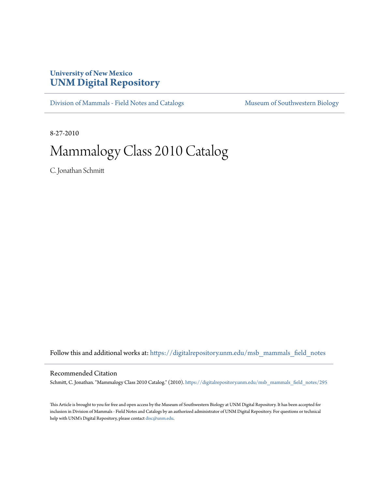## **University of New Mexico [UNM Digital Repository](https://digitalrepository.unm.edu?utm_source=digitalrepository.unm.edu%2Fmsb_mammals_field_notes%2F295&utm_medium=PDF&utm_campaign=PDFCoverPages)**

[Division of Mammals - Field Notes and Catalogs](https://digitalrepository.unm.edu/msb_mammals_field_notes?utm_source=digitalrepository.unm.edu%2Fmsb_mammals_field_notes%2F295&utm_medium=PDF&utm_campaign=PDFCoverPages) [Museum of Southwestern Biology](https://digitalrepository.unm.edu/msb?utm_source=digitalrepository.unm.edu%2Fmsb_mammals_field_notes%2F295&utm_medium=PDF&utm_campaign=PDFCoverPages)

8-27-2010

## Mammalogy Class 2010 Catalog

C. Jonathan Schmitt

Follow this and additional works at: [https://digitalrepository.unm.edu/msb\\_mammals\\_field\\_notes](https://digitalrepository.unm.edu/msb_mammals_field_notes?utm_source=digitalrepository.unm.edu%2Fmsb_mammals_field_notes%2F295&utm_medium=PDF&utm_campaign=PDFCoverPages)

## Recommended Citation

Schmitt, C. Jonathan. "Mammalogy Class 2010 Catalog." (2010). [https://digitalrepository.unm.edu/msb\\_mammals\\_field\\_notes/295](https://digitalrepository.unm.edu/msb_mammals_field_notes/295?utm_source=digitalrepository.unm.edu%2Fmsb_mammals_field_notes%2F295&utm_medium=PDF&utm_campaign=PDFCoverPages)

This Article is brought to you for free and open access by the Museum of Southwestern Biology at UNM Digital Repository. It has been accepted for inclusion in Division of Mammals - Field Notes and Catalogs by an authorized administrator of UNM Digital Repository. For questions or technical help with UNM's Digital Repository, please contact [disc@unm.edu](mailto:disc@unm.edu).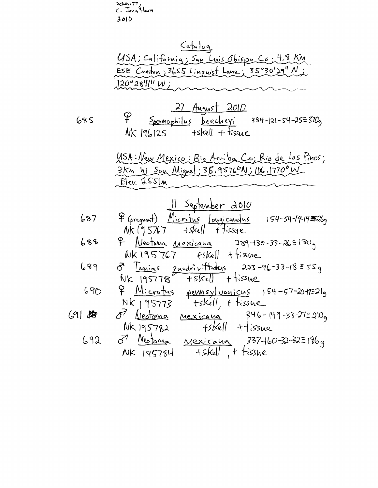achnitt<br>C. John Hhan<br>2010

|             | Catalog                                                                                                         |
|-------------|-----------------------------------------------------------------------------------------------------------------|
|             | USA; California; San Luis Obispo Co. 4,8 Km                                                                     |
|             | ESE Creston; 3655 Linguist Lane; 35°30'29" Ni                                                                   |
|             | 120°28'11" W ;                                                                                                  |
|             |                                                                                                                 |
|             | <u>27 August 2010</u>                                                                                           |
| 685         | <del>9</del> <u>Spermophilus</u> beecheyi 384-121-54-25≡370g                                                    |
|             | $NK$ $ 96 25$ tskell + tissue                                                                                   |
|             | USA: New Mexico: Rie Arriba Co; Rio de los Pinos;                                                               |
|             | 3km W San Mignel; 36.95760N; 106.17700 W                                                                        |
|             | Elev. 255lm                                                                                                     |
|             |                                                                                                                 |
|             | 11 September 2010                                                                                               |
| 687         | P (pregnant) Microtus Longicaughs 154-54-19-14 Fillog                                                           |
|             | $Nk[95767 + skell]$ ffissue                                                                                     |
| 688         | <sup>9</sup> Veutoma Mexicana 289-130-33-26=130g                                                                |
| 689         | $NK195767$ $fskell$ $f:sine$                                                                                    |
|             | 8 Janias quadrit Habes 223-96-33-18 = 55g<br>$Nk$ 195778 $F$ + $s$ $kell$ + $\frac{1}{2}$ + $\frac{1}{2}$ issue |
| 690         | <u>P Microtus</u> peunsylvanicus 154-57-2019=21g                                                                |
|             | $NK$ $195773$ tskell, t tissue                                                                                  |
| $ S $ $ S $ | 8 Veotona nexicana<br>$746 - 149 - 33 - 2752109$                                                                |
|             | $+5kell + 1$ issue<br>NK 195782                                                                                 |
| 692         | 3 Nestona<br><u>Mexicaun</u> 337460-32-32=186g                                                                  |
|             | +skell, + tisshe<br>NK 145784                                                                                   |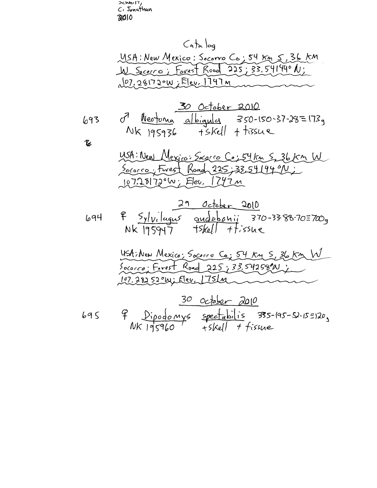>chm<sub>rlT</sub>,<br>C: Jonathan<br>RClO

 $\mathcal{U}$ 

$$
695 \qquad \frac{P}{195}
$$